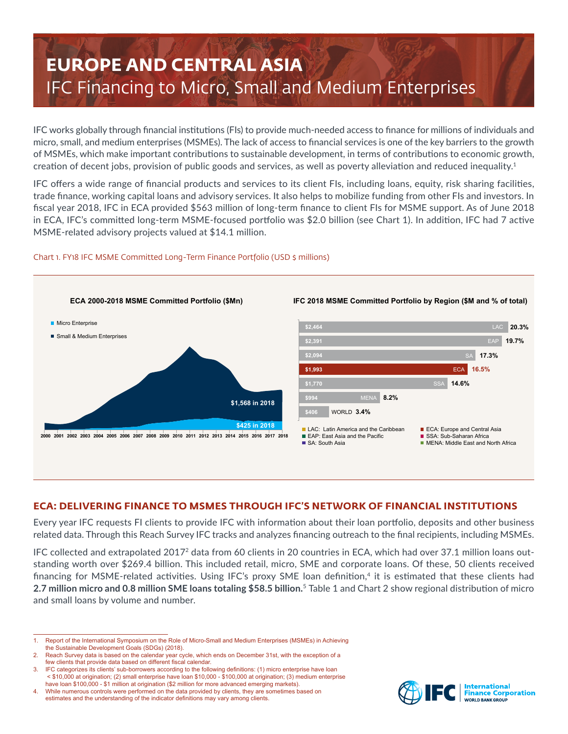# **EUROPE AND CENTRAL ASIA** IFC Financing to Micro, Small and Medium Enterprises

IFC works globally through financial institutions (FIs) to provide much-needed access to finance for millions of individuals and micro, small, and medium enterprises (MSMEs). The lack of access to financial services is one of the key barriers to the growth of MSMEs, which make important contributions to sustainable development, in terms of contributions to economic growth, creation of decent jobs, provision of public goods and services, as well as poverty alleviation and reduced inequality.<sup>1</sup>

IFC offers a wide range of financial products and services to its client FIs, including loans, equity, risk sharing facilities, trade finance, working capital loans and advisory services. It also helps to mobilize funding from other FIs and investors. In fiscal year 2018, IFC in ECA provided \$563 million of long-term finance to client FIs for MSME support. As of June 2018 in ECA, IFC's committed long-term MSME-focused portfolio was \$2.0 billion (see Chart 1). In addition, IFC had 7 active MSME-related advisory projects valued at \$14.1 million.



## Chart 1. FY18 IFC MSME Committed Long-Term Finance Portfolio (USD \$ millions)

# **ECA: DELIVERING FINANCE TO MSMES THROUGH IFC'S NETWORK OF FINANCIAL INSTITUTIONS**

Every year IFC requests FI clients to provide IFC with information about their loan portfolio, deposits and other business related data. Through this Reach Survey IFC tracks and analyzes financing outreach to the final recipients, including MSMEs.

IFC collected and extrapolated 20172 data from 60 clients in 20 countries in ECA, which had over 37.1 million loans outstanding worth over \$269.4 billion. This included retail, micro, SME and corporate loans. Of these, 50 clients received financing for MSME-related activities. Using IFC's proxy SME loan definition,<sup>4</sup> it is estimated that these clients had **2.7 million micro and 0.8 million SME loans totaling \$58.5 billion.** <sup>5</sup> Table 1 and Chart 2 show regional distribution of micro and small loans by volume and number.



<sup>1.</sup> Report of the International Symposium on the Role of Micro-Small and Medium Enterprises (MSMEs) in Achieving the Sustainable Development Goals (SDGs) (2018).

Reach Survey data is based on the calendar year cycle, which ends on December 31st, with the exception of a few clients that provide data based on different fiscal calendar.

<sup>3.</sup> IFC categorizes its clients' sub-borrowers according to the following definitions: (1) micro enterprise have loan < \$10,000 at origination; (2) small enterprise have loan \$10,000 - \$100,000 at origination; (3) medium enterprise have loan \$100,000 - \$1 million at origination (\$2 million for more advanced emerging markets).

<sup>4.</sup> While numerous controls were performed on the data provided by clients, they are sometimes based on estimates and the understanding of the indicator definitions may vary among clients.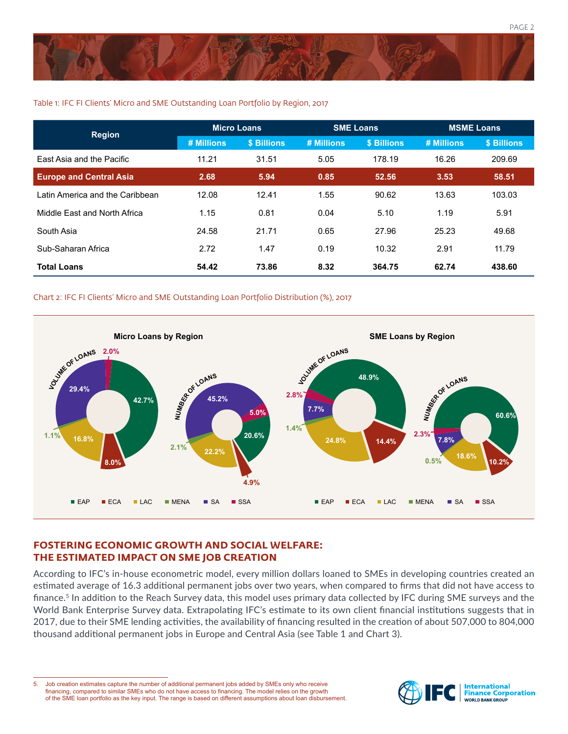

### Table 1: IFC FI Clients' Micro and SME Outstanding Loan Portfolio by Region, 2017

| <b>Region</b>                   | <b>Micro Loans</b> |             | <b>SME Loans</b> |             | <b>MSME Loans</b> |             |
|---------------------------------|--------------------|-------------|------------------|-------------|-------------------|-------------|
|                                 | # Millions         | \$ Billions | # Millions       | \$ Billions | # Millions        | \$ Billions |
| East Asia and the Pacific       | 11.21              | 31.51       | 5.05             | 178.19      | 16.26             | 209.69      |
| <b>Europe and Central Asia</b>  | 2.68               | 5.94        | 0.85             | 52.56       | 3.53              | 58.51       |
| Latin America and the Caribbean | 12.08              | 12.41       | 1.55             | 90.62       | 13.63             | 103.03      |
| Middle Fast and North Africa    | 1.15               | 0.81        | 0.04             | 5.10        | 1.19              | 5.91        |
| South Asia                      | 24.58              | 21.71       | 0.65             | 27.96       | 25.23             | 49.68       |
| Sub-Saharan Africa              | 2.72               | 1.47        | 0.19             | 10.32       | 2.91              | 11.79       |
| <b>Total Loans</b>              | 54.42              | 73.86       | 8.32             | 364.75      | 62.74             | 438.60      |

### Chart 2: IFC FI Clients' Micro and SME Outstanding Loan Portfolio Distribution (%), 2017



# **FOSTERING ECONOMIC GROWTH AND SOCIAL WELFARE: THE ESTIMATED IMPACT ON SME JOB CREATION**

According to IFC's in-house econometric model, every million dollars loaned to SMEs in developing countries created an estimated average of 16.3 additional permanent jobs over two years, when compared to firms that did not have access to finance.5 In addition to the Reach Survey data, this model uses primary data collected by IFC during SME surveys and the World Bank Enterprise Survey data. Extrapolating IFC's estimate to its own client financial institutions suggests that in 2017, due to their SME lending activities, the availability of financing resulted in the creation of about 507,000 to 804,000 thousand additional permanent jobs in Europe and Central Asia (see Table 1 and Chart 3).

5. Job creation estimates capture the number of additional permanent jobs added by SMEs only who receive financing, compared to similar SMEs who do not have access to financing. The model relies on the growth of the SME loan portfolio as the key input. The range is based on different assumptions about loan disbursement.

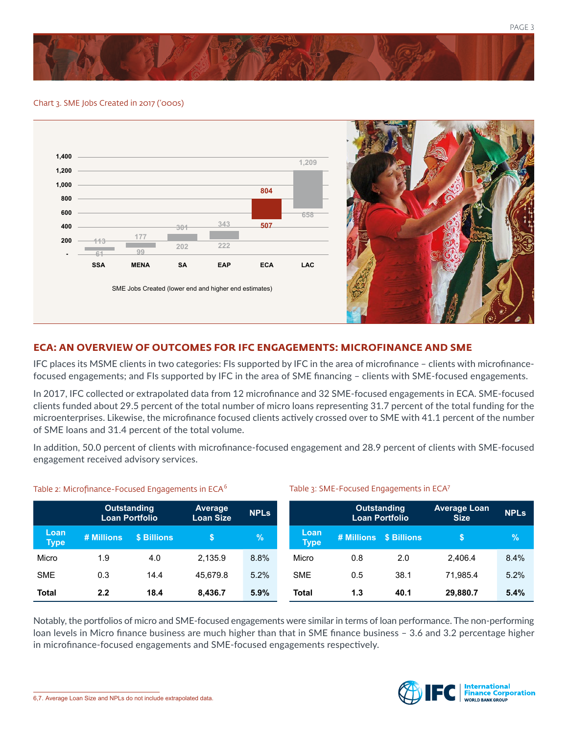

#### Chart 3. SME Jobs Created in 2017 ('000s)



# **ECA: AN OVERVIEW OF OUTCOMES FOR IFC ENGAGEMENTS: MICROFINANCE AND SME**

IFC places its MSME clients in two categories: FIs supported by IFC in the area of microfinance – clients with microfinancefocused engagements; and FIs supported by IFC in the area of SME financing – clients with SME-focused engagements.

In 2017, IFC collected or extrapolated data from 12 microfinance and 32 SME-focused engagements in ECA. SME-focused clients funded about 29.5 percent of the total number of micro loans representing 31.7 percent of the total funding for the microenterprises. Likewise, the microfinance focused clients actively crossed over to SME with 41.1 percent of the number of SME loans and 31.4 percent of the total volume.

In addition, 50.0 percent of clients with microfinance-focused engagement and 28.9 percent of clients with SME-focused engagement received advisory services.

Table 3: SME-Focused Engagements in ECA7

|                     | Outstanding<br><b>Loan Portfolio</b> |             | <b>Average</b><br><b>Loan Size</b> | <b>NPLs</b> |                     | <b>Outstanding</b><br><b>Loan Portfolio</b> |                        | <b>Average Loan</b><br><b>Size</b> | <b>NPLs</b> |
|---------------------|--------------------------------------|-------------|------------------------------------|-------------|---------------------|---------------------------------------------|------------------------|------------------------------------|-------------|
| Loan<br><b>Type</b> | # Millions                           | \$ Billions |                                    | %           | Loan<br><b>Type</b> |                                             | # Millions \$ Billions | \$                                 | $\%$        |
| Micro               | 1.9                                  | 4.0         | 2.135.9                            | 8.8%        | Micro               | 0.8                                         | 2.0                    | 2.406.4                            | 8.4%        |
| <b>SME</b>          | 0.3                                  | 14.4        | 45.679.8                           | 5.2%        | <b>SME</b>          | 0.5                                         | 38.1                   | 71.985.4                           | 5.2%        |
| <b>Total</b>        | 2.2                                  | 18.4        | 8,436.7                            | 5.9%        | <b>Total</b>        | 1.3                                         | 40.1                   | 29,880.7                           | 5.4%        |

#### Table 2: Microfinance-Focused Engagements in ECA<sup>6</sup>

Notably, the portfolios of micro and SME-focused engagements were similar in terms of loan performance. The non-performing loan levels in Micro finance business are much higher than that in SME finance business – 3.6 and 3.2 percentage higher in microfinance-focused engagements and SME-focused engagements respectively.

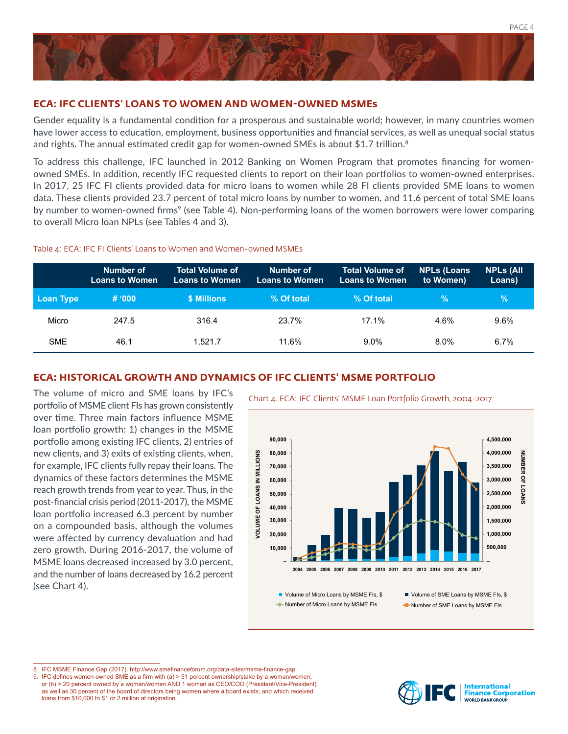

## **ECA: IFC CLIENTS' LOANS TO WOMEN AND WOMEN-OWNED MSMEs**

Gender equality is a fundamental condition for a prosperous and sustainable world; however, in many countries women have lower access to education, employment, business opportunities and financial services, as well as unequal social status and rights. The annual estimated credit gap for women-owned SMEs is about \$1.7 trillion.<sup>8</sup>

To address this challenge, IFC launched in 2012 Banking on Women Program that promotes financing for womenowned SMEs. In addition, recently IFC requested clients to report on their loan portfolios to women-owned enterprises. In 2017, 25 IFC FI clients provided data for micro loans to women while 28 FI clients provided SME loans to women data. These clients provided 23.7 percent of total micro loans by number to women, and 11.6 percent of total SME loans by number to women-owned firms<sup>9</sup> (see Table 4). Non-performing loans of the women borrowers were lower comparing to overall Micro loan NPLs (see Tables 4 and 3).

#### Table 4: ECA: IFC FI Clients' Loans to Women and Women-owned MSMEs

|            | Number of<br><b>Loans to Women</b> | 'Total Volume of <sub>'</sub><br><b>Loans to Women</b> | Number of<br>Loans to Women | <b>Total Volume of</b><br><b>Loans to Women</b> | <b>NPLs (Loans</b><br>to Women) | <b>NPLs (All</b><br>Loans) |
|------------|------------------------------------|--------------------------------------------------------|-----------------------------|-------------------------------------------------|---------------------------------|----------------------------|
| Loan Type  | # '000                             | <b>\$ Millions</b>                                     | % Of total                  | % Of total                                      | %                               | $\%$                       |
| Micro      | 247.5                              | 316.4                                                  | 23.7%                       | 17.1%                                           | 4.6%                            | $9.6\%$                    |
| <b>SME</b> | 46.1                               | 1.521.7                                                | 11.6%                       | $9.0\%$                                         | $8.0\%$                         | 6.7%                       |

# **ECA: HISTORICAL GROWTH AND DYNAMICS OF IFC CLIENTS' MSME PORTFOLIO**

The volume of micro and SME loans by IFC's<br>Chart 4. ECA: IFC Clients' MSME Loan Portfolio Growth, 2004-2017 portfolio of MSME client FIs has grown consistently over time. Three main factors influence MSME loan portfolio growth: 1) changes in the MSME portfolio among existing IFC clients, 2) entries of new clients, and 3) exits of existing clients, when, for example, IFC clients fully repay their loans. The dynamics of these factors determines the MSME reach growth trends from year to year. Thus, in the post-financial crisis period (2011-2017), the MSME loan portfolio increased 6.3 percent by number on a compounded basis, although the volumes were affected by currency devaluation and had zero growth. During 2016-2017, the volume of MSME loans decreased increased by 3.0 percent, and the number of loans decreased by 16.2 percent (see Chart 4).



Number of Micro Loans by MSME FIs

Number of SME Loans by MSME FIs

8. IFC MSME Finance Gap (2017). http://www.smefinanceforum.org/data-sites/msme-finance-gap

9. IFC defines women-owned SME as a firm with (a) > 51 percent ownership/stake by a woman/women; or (b) > 20 percent owned by a woman/women AND 1 woman as CEO/COO (President/Vice-President) as well as 30 percent of the board of directors being women where a board exists; and which received loans from \$10,000 to \$1 or 2 million at origination.

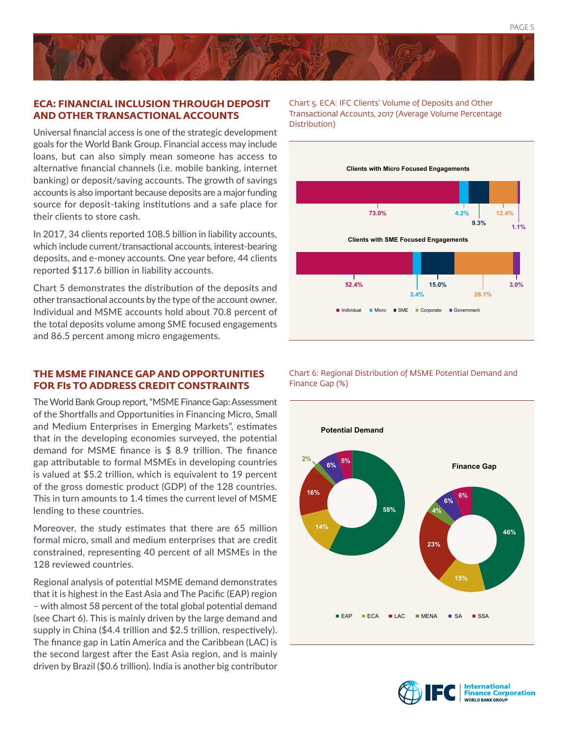## **ECA: FINANCIAL INCLUSION THROUGH DEPOSIT AND OTHER TRANSACTIONAL ACCOUNTS**

Universal financial access is one of the strategic development goals for the World Bank Group. Financial access may include loans, but can also simply mean someone has access to alternative financial channels (i.e. mobile banking, internet banking) or deposit/saving accounts. The growth of savings accounts is also important because deposits are a major funding source for deposit-taking institutions and a safe place for their clients to store cash.

In 2017, 34 clients reported 108.5 billion in liability accounts, which include current/transactional accounts, interest-bearing deposits, and e-money accounts. One year before, 44 clients reported \$117.6 billion in liability accounts.

Chart 5 demonstrates the distribution of the deposits and other transactional accounts by the type of the account owner. Individual and MSME accounts hold about 70.8 percent of the total deposits volume among SME focused engagements and 86.5 percent among micro engagements.

# **THE MSME FINANCE GAP AND OPPORTUNITIES FOR FIs TO ADDRESS CREDIT CONSTRAINTS**

The World Bank Group report, "MSME Finance Gap: Assessment of the Shortfalls and Opportunities in Financing Micro, Small and Medium Enterprises in Emerging Markets", estimates that in the developing economies surveyed, the potential demand for MSME finance is \$ 8.9 trillion. The finance gap attributable to formal MSMEs in developing countries is valued at \$5.2 trillion, which is equivalent to 19 percent of the gross domestic product (GDP) of the 128 countries. This in turn amounts to 1.4 times the current level of MSME lending to these countries.

Moreover, the study estimates that there are 65 million formal micro, small and medium enterprises that are credit constrained, representing 40 percent of all MSMEs in the 128 reviewed countries.

Regional analysis of potential MSME demand demonstrates that it is highest in the East Asia and The Pacific (EAP) region – with almost 58 percent of the total global potential demand (see Chart 6). This is mainly driven by the large demand and supply in China (\$4.4 trillion and \$2.5 trillion, respectively). The finance gap in Latin America and the Caribbean (LAC) is the second largest after the East Asia region, and is mainly driven by Brazil (\$0.6 trillion). India is another big contributor Chart 5. ECA: IFC Clients' Volume of Deposits and Other Transactional Accounts, 2017 (Average Volume Percentage Distribution)